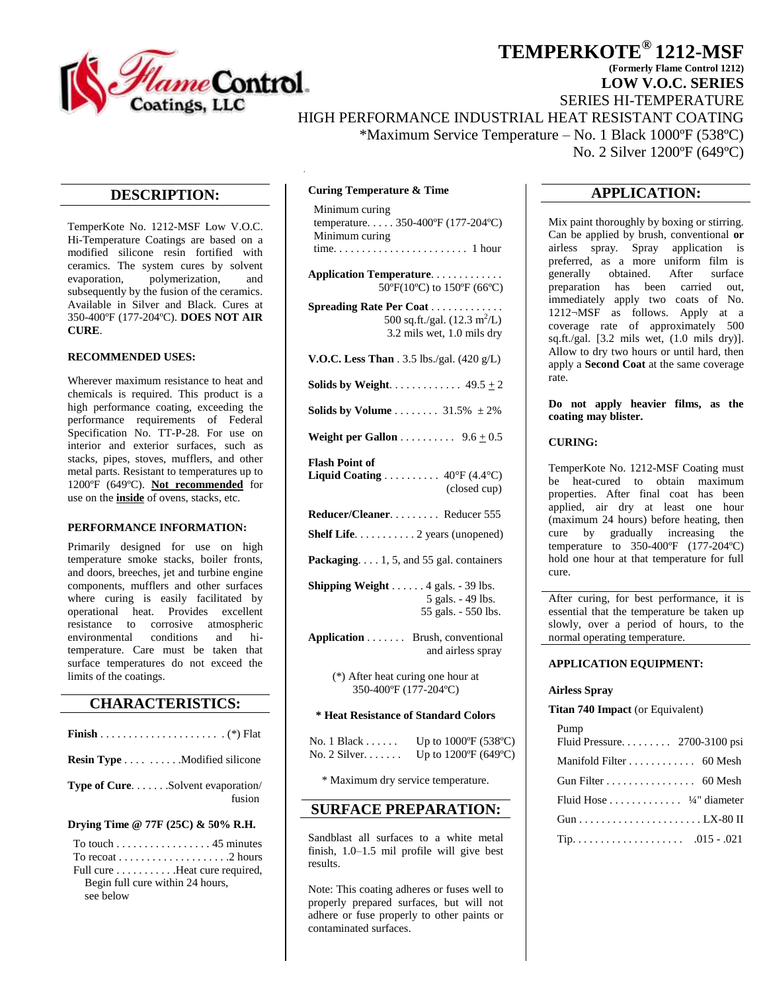

# **TEMPERKOTE® 1212-MSF**

**(Formerly Flame Control 1212) LOW V.O.C. SERIES**

SERIES HI-TEMPERATURE

HIGH PERFORMANCE INDUSTRIAL HEAT RESISTANT COATING

\*Maximum Service Temperature – No. 1 Black 1000ºF (538ºC)

No. 2 Silver 1200ºF (649ºC)

# **DESCRIPTION:**

TemperKote No. 1212-MSF Low V.O.C. Hi-Temperature Coatings are based on a modified silicone resin fortified with ceramics. The system cures by solvent evaporation, polymerization, and subsequently by the fusion of the ceramics. Available in Silver and Black. Cures at 350-400ºF (177-204ºC). **DOES NOT AIR CURE**.

## **RECOMMENDED USES:**

Wherever maximum resistance to heat and chemicals is required. This product is a high performance coating, exceeding the performance requirements of Federal Specification No. TT-P-28. For use on interior and exterior surfaces, such as stacks, pipes, stoves, mufflers, and other metal parts. Resistant to temperatures up to 1200ºF (649ºC). **Not recommended** for use on the **inside** of ovens, stacks, etc.

## **PERFORMANCE INFORMATION:**

Primarily designed for use on high temperature smoke stacks, boiler fronts, and doors, breeches, jet and turbine engine components, mufflers and other surfaces where curing is easily facilitated by operational heat. Provides excellent resistance to corrosive atmospheric<br>environmental conditions and hienvironmental conditions and hitemperature. Care must be taken that surface temperatures do not exceed the limits of the coatings.

# **CHARACTERISTICS:**

| Resin Type Modified silicone |  |  |  |  |  |  |  |  |  |
|------------------------------|--|--|--|--|--|--|--|--|--|

**Type of Cure.** . . . . . . . Solvent evaporation/ fusion

## **Drying Time @ 77F (25C) & 50% R.H.**

| To touch . $\dots$ . $\dots$ . $\dots$ . $\dots$ . 45 minutes |
|---------------------------------------------------------------|
|                                                               |
| Full cure Heat cure required,                                 |
| Begin full cure within 24 hours,                              |
| see below                                                     |
|                                                               |

|  | <b>Curing Temperature &amp; Time</b> |  |  |
|--|--------------------------------------|--|--|
|--|--------------------------------------|--|--|

| Minimum curing<br>temperature 350-400°F (177-204°C)<br>Minimum curing                                          |
|----------------------------------------------------------------------------------------------------------------|
| <b>Application Temperature</b><br>50°F(10°C) to 150°F (66°C)                                                   |
| <b>Spreading Rate Per Coat </b><br>500 sq.ft./gal. $(12.3 \text{ m}^2/\text{L})$<br>3.2 mils wet, 1.0 mils dry |
| V.O.C. Less Than . 3.5 lbs./gal. (420 g/L)                                                                     |
| <b>Solids by Weight.</b> 49.5 $\pm$ 2                                                                          |
| <b>Solids by Volume</b> 31.5% $\pm 2\%$                                                                        |
| <b>Weight per Gallon</b> 9.6 $\pm$ 0.5                                                                         |
| <b>Flash Point of</b><br>Liquid Coating $40^{\circ}F(4.4^{\circ}C)$<br>(closed cup)                            |
| Reducer/Cleaner. Reducer 555                                                                                   |
| Shelf Life. 2 years (unopened)                                                                                 |
| Packaging. 1, 5, and 55 gal. containers                                                                        |
| Shipping Weight 4 gals. - 39 lbs.<br>5 gals. - 49 lbs.<br>55 gals. - 550 lbs.                                  |
| Application Brush, conventional<br>and airless spray                                                           |
| (*) After heat curing one hour at<br>350-400°F (177-204°C)                                                     |
| <b>* Heat Resistance of Standard Colors</b>                                                                    |

## No. 1 Black . . . . . . Up to 1000°F (538°C) No. 2 Silver.  $\dots$  . Up to 1200°F (649°C)

\* Maximum dry service temperature.

# **SURFACE PREPARATION:**

Sandblast all surfaces to a white metal finish, 1.0–1.5 mil profile will give best results.

Note: This coating adheres or fuses well to properly prepared surfaces, but will not adhere or fuse properly to other paints or contaminated surfaces.

## **APPLICATION:**

Mix paint thoroughly by boxing or stirring. Can be applied by brush, conventional **or** airless spray. Spray application is preferred, as a more uniform film is generally obtained. After surface preparation has been carried out, immediately apply two coats of No. 1212¬MSF as follows. Apply at a coverage rate of approximately 500 sq.ft./gal. [3.2 mils wet, (1.0 mils dry)]. Allow to dry two hours or until hard, then apply a **Second Coat** at the same coverage rate.

**Do not apply heavier films, as the coating may blister.**

#### **CURING:**

TemperKote No. 1212-MSF Coating must be heat-cured to obtain maximum properties. After final coat has been applied, air dry at least one hour (maximum 24 hours) before heating, then cure by gradually increasing the temperature to 350-400ºF (177-204ºC) hold one hour at that temperature for full cure.

After curing, for best performance, it is essential that the temperature be taken up slowly, over a period of hours, to the normal operating temperature.

#### **APPLICATION EQUIPMENT:**

#### **Airless Spray**

**Titan 740 Impact** (or Equivalent)

| Pump<br>Fluid Pressure 2700-3100 psi               |
|----------------------------------------------------|
| Manifold Filter 60 Mesh                            |
| Gun Filter 60 Mesh                                 |
| Fluid Hose $\dots \dots \dots \dots$ 1/4" diameter |
|                                                    |
|                                                    |
|                                                    |